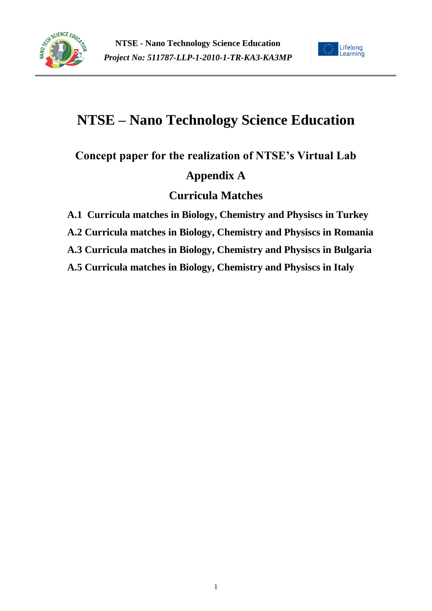



# **NTSE – Nano Technology Science Education**

**Concept paper for the realization of NTSE's Virtual Lab**

### **Appendix A**

### **Curricula Matches**

**A.1 Curricula matches in Biology, Chemistry and Physiscs in Turkey**

**A.2 Curricula matches in Biology, Chemistry and Physiscs in Romania**

**A.3 Curricula matches in Biology, Chemistry and Physiscs in Bulgaria**

**A.5 Curricula matches in Biology, Chemistry and Physiscs in Italy**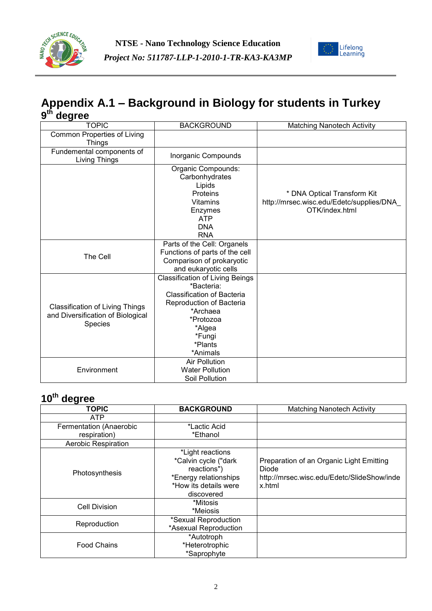



### **Appendix A.1 – Background in Biology for students in Turkey 9 th degree**

| <b>TOPIC</b><br><b>BACKGROUND</b>                                                      |                                                                                                                                                                                           | <b>Matching Nanotech Activity</b>                                                         |
|----------------------------------------------------------------------------------------|-------------------------------------------------------------------------------------------------------------------------------------------------------------------------------------------|-------------------------------------------------------------------------------------------|
| <b>Common Properties of Living</b><br><b>Things</b>                                    |                                                                                                                                                                                           |                                                                                           |
| Fundemental components of<br>Living Things                                             | Inorganic Compounds                                                                                                                                                                       |                                                                                           |
|                                                                                        | Organic Compounds:<br>Carbonhydrates<br>Lipids<br>Proteins<br><b>Vitamins</b><br>Enzymes<br><b>ATP</b><br><b>DNA</b><br><b>RNA</b>                                                        | * DNA Optical Transform Kit<br>http://mrsec.wisc.edu/Edetc/supplies/DNA<br>OTK/index.html |
| The Cell                                                                               | Parts of the Cell: Organels<br>Functions of parts of the cell<br>Comparison of prokaryotic<br>and eukaryotic cells                                                                        |                                                                                           |
| <b>Classification of Living Things</b><br>and Diversification of Biological<br>Species | <b>Classification of Living Beings</b><br>*Bacteria:<br><b>Classification of Bacteria</b><br>Reproduction of Bacteria<br>*Archaea<br>*Protozoa<br>*Algea<br>*Fungi<br>*Plants<br>*Animals |                                                                                           |
| Environment                                                                            | <b>Air Pollution</b><br><b>Water Pollution</b><br>Soil Pollution                                                                                                                          |                                                                                           |

| .                       |                       |                                            |
|-------------------------|-----------------------|--------------------------------------------|
| <b>TOPIC</b>            | <b>BACKGROUND</b>     | <b>Matching Nanotech Activity</b>          |
| <b>ATP</b>              |                       |                                            |
| Fermentation (Anaerobic | *Lactic Acid          |                                            |
| respiration)            | *Ethanol              |                                            |
| Aerobic Respiration     |                       |                                            |
|                         | *Light reactions      |                                            |
|                         | *Calvin cycle ("dark  | Preparation of an Organic Light Emitting   |
| Photosynthesis          | reactions")           | Diode                                      |
|                         | *Energy relationships | http://mrsec.wisc.edu/Edetc/SlideShow/inde |
|                         | *How its details were | x.html                                     |
|                         | discovered            |                                            |
|                         | *Mitosis              |                                            |
| Cell Division           | *Meiosis              |                                            |
|                         | *Sexual Reproduction  |                                            |
| Reproduction            | *Asexual Reproduction |                                            |
|                         | *Autotroph            |                                            |
| <b>Food Chains</b>      | *Heterotrophic        |                                            |
|                         | *Saprophyte           |                                            |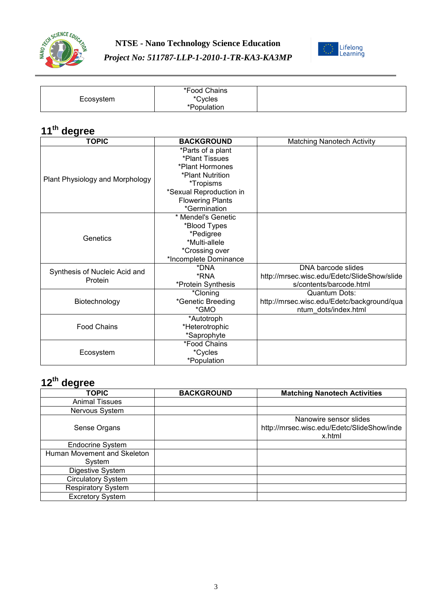



| Ecosystem | *Food Chains<br>*Cycles<br>*Population |  |
|-----------|----------------------------------------|--|
|-----------|----------------------------------------|--|

| <b>TOPIC</b>                    | <b>BACKGROUND</b>       | <b>Matching Nanotech Activity</b>           |
|---------------------------------|-------------------------|---------------------------------------------|
|                                 | *Parts of a plant       |                                             |
|                                 | *Plant Tissues          |                                             |
|                                 | *Plant Hormones         |                                             |
| Plant Physiology and Morphology | *Plant Nutrition        |                                             |
|                                 | *Tropisms               |                                             |
|                                 | *Sexual Reproduction in |                                             |
|                                 | <b>Flowering Plants</b> |                                             |
|                                 | *Germination            |                                             |
|                                 | * Mendel's Genetic      |                                             |
|                                 | *Blood Types            |                                             |
| Genetics                        | *Pedigree               |                                             |
|                                 | *Multi-allele           |                                             |
|                                 | *Crossing over          |                                             |
|                                 | *Incomplete Dominance   |                                             |
| Synthesis of Nucleic Acid and   | *DNA                    | DNA barcode slides                          |
| Protein                         | *RNA                    | http://mrsec.wisc.edu/Edetc/SlideShow/slide |
|                                 | *Protein Synthesis      | s/contents/barcode.html                     |
|                                 | *Cloning                | Quantum Dots:                               |
| Biotechnology                   | *Genetic Breeding       | http://mrsec.wisc.edu/Edetc/background/qua  |
|                                 | *GMO                    | ntum dots/index.html                        |
|                                 | *Autotroph              |                                             |
| <b>Food Chains</b>              | *Heterotrophic          |                                             |
|                                 | *Saprophyte             |                                             |
|                                 | *Food Chains            |                                             |
| Ecosystem                       | *Cycles                 |                                             |
|                                 | *Population             |                                             |

| <b>TOPIC</b>                | <b>BACKGROUND</b> | <b>Matching Nanotech Activities</b>                                            |
|-----------------------------|-------------------|--------------------------------------------------------------------------------|
| <b>Animal Tissues</b>       |                   |                                                                                |
| Nervous System              |                   |                                                                                |
| Sense Organs                |                   | Nanowire sensor slides<br>http://mrsec.wisc.edu/Edetc/SlideShow/inde<br>x.html |
| <b>Endocrine System</b>     |                   |                                                                                |
| Human Movement and Skeleton |                   |                                                                                |
| System                      |                   |                                                                                |
| Digestive System            |                   |                                                                                |
| <b>Circulatory System</b>   |                   |                                                                                |
| <b>Respiratory System</b>   |                   |                                                                                |
| <b>Excretory System</b>     |                   |                                                                                |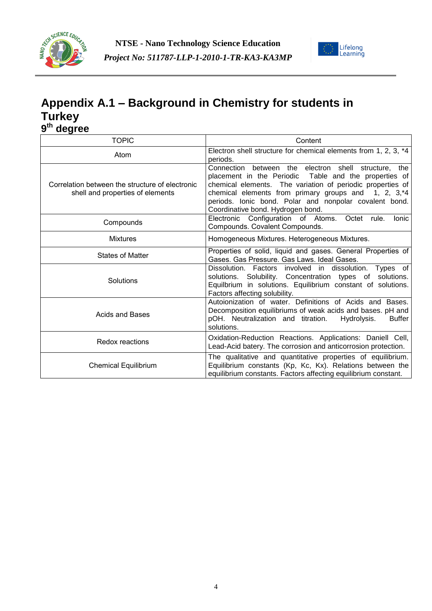



### **Appendix A.1 – Background in Chemistry for students in Turkey 9 th degree**

| <u>unai no</u>                                                                      |                                                                                                                                                                                                                                                                                                                                    |
|-------------------------------------------------------------------------------------|------------------------------------------------------------------------------------------------------------------------------------------------------------------------------------------------------------------------------------------------------------------------------------------------------------------------------------|
| <b>TOPIC</b>                                                                        | Content                                                                                                                                                                                                                                                                                                                            |
| Atom                                                                                | Electron shell structure for chemical elements from 1, 2, 3, *4<br>periods.                                                                                                                                                                                                                                                        |
| Correlation between the structure of electronic<br>shell and properties of elements | Connection between the electron shell structure, the<br>placement in the Periodic Table and the properties of<br>chemical elements. The variation of periodic properties of<br>chemical elements from primary groups and 1, 2, 3,*4<br>periods. Ionic bond. Polar and nonpolar covalent bond.<br>Coordinative bond. Hydrogen bond. |
| Compounds                                                                           | Electronic Configuration of Atoms.<br><b>lonic</b><br>Octet rule.<br>Compounds. Covalent Compounds.                                                                                                                                                                                                                                |
| <b>Mixtures</b>                                                                     | Homogeneous Mixtures. Heterogeneous Mixtures.                                                                                                                                                                                                                                                                                      |
| <b>States of Matter</b>                                                             | Properties of solid, liquid and gases. General Properties of<br>Gases. Gas Pressure. Gas Laws. Ideal Gases.                                                                                                                                                                                                                        |
| Solutions                                                                           | Dissolution. Factors involved in dissolution. Types of<br>solutions. Solubility. Concentration types of solutions.<br>Equilbrium in solutions. Equilibrium constant of solutions.<br>Factors affecting solubility.                                                                                                                 |
| Acids and Bases                                                                     | Autoionization of water. Definitions of Acids and Bases.<br>Decomposition equilibriums of weak acids and bases. pH and<br>pOH. Neutralization and titration.<br><b>Buffer</b><br>Hydrolysis.<br>solutions.                                                                                                                         |
| <b>Redox reactions</b>                                                              | Oxidation-Reduction Reactions. Applications: Daniell Cell,<br>Lead-Acid batery. The corrosion and anticorrosion protection.                                                                                                                                                                                                        |
| <b>Chemical Equilibrium</b>                                                         | The qualitative and quantitative properties of equilibrium.<br>Equilibrium constants (Kp, Kc, Kx). Relations between the<br>equilibrium constants. Factors affecting equilibrium constant.                                                                                                                                         |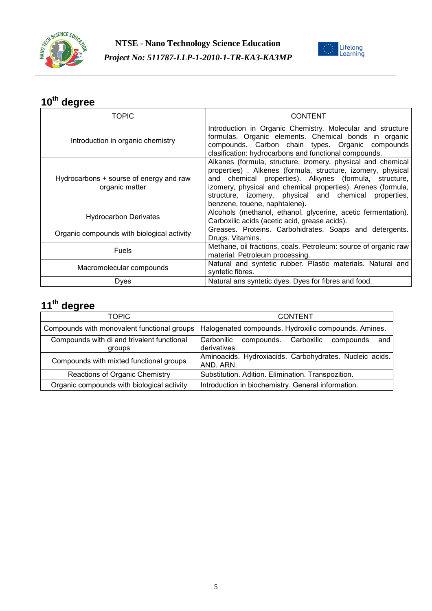



| <b>TOPIC</b>                                              | <b>CONTENT</b>                                                                                                                                                                                                                                                                                                                                 |
|-----------------------------------------------------------|------------------------------------------------------------------------------------------------------------------------------------------------------------------------------------------------------------------------------------------------------------------------------------------------------------------------------------------------|
| Introduction in organic chemistry                         | Introduction in Organic Chemistry. Molecular and structure<br>formulas. Organic elements. Chemical bonds in organic<br>compounds. Carbon chain types. Organic compounds<br>clasification: hydrocarbons and functional compounds.                                                                                                               |
| Hydrocarbons + sourse of energy and raw<br>organic matter | Alkanes (formula, structure, izomery, physical and chemical<br>properties). Alkenes (formula, structure, izomery, physical<br>and chemical properties). Alkynes (formula, structure,<br>izomery, physical and chemical properties). Arenes (formula,<br>structure, izomery, physical and chemical properties,<br>benzene, touene, naphtalene). |
| <b>Hydrocarbon Derivates</b>                              | Alcohols (methanol, ethanol, glycerine, acetic fermentation).<br>Carboxilic acids (acetic acid, grease acids).                                                                                                                                                                                                                                 |
| Organic compounds with biological activity                | Greases. Proteins. Carbohidrates. Soaps and detergents.<br>Drugs. Vitamins.                                                                                                                                                                                                                                                                    |
| <b>Fuels</b>                                              | Methane, oil fractions, coals. Petroleum: source of organic raw<br>material. Petroleum processing.                                                                                                                                                                                                                                             |
| Macromolecular compounds                                  | Natural and syntetic rubber. Plastic materials. Natural and<br>syntetic fibres.                                                                                                                                                                                                                                                                |
| Dyes                                                      | Natural ans syntetic dyes. Dyes for fibres and food.                                                                                                                                                                                                                                                                                           |

| TOPIC                                                | <b>CONTENT</b>                                                             |
|------------------------------------------------------|----------------------------------------------------------------------------|
| Compounds with monovalent functional groups          | Halogenated compounds. Hydroxilic compounds. Amines.                       |
| Compounds with di and trivalent functional<br>groups | Carbonilic<br>Carboxilic<br>compounds.<br>compounds<br>and<br>derivatives. |
| Compounds with mixted functional groups              | Aminoacids. Hydroxiacids. Carbohydrates. Nucleic acids.<br>AND. ARN.       |
| Reactions of Organic Chemistry                       | Substitution. Adition. Elimination. Transpozition.                         |
| Organic compounds with biological activity           | Introduction in biochemistry. General information.                         |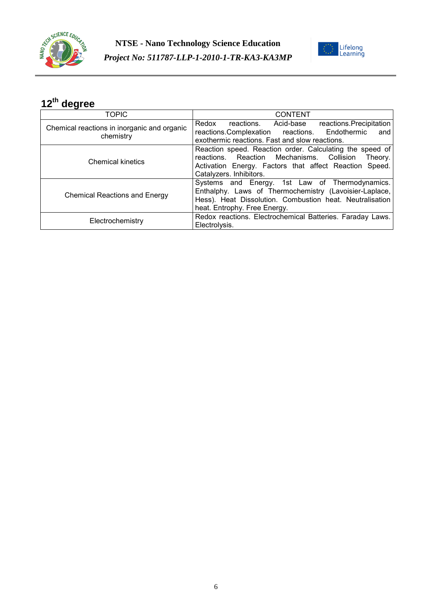



| <b>TOPIC</b>                                | <b>CONTENT</b>                                            |
|---------------------------------------------|-----------------------------------------------------------|
| Chemical reactions in inorganic and organic | reactions. Acid-base reactions. Precipitation<br>Redox    |
| chemistry                                   | reactions.Complexation reactions. Endothermic<br>and      |
|                                             | exothermic reactions. Fast and slow reactions.            |
|                                             | Reaction speed. Reaction order. Calculating the speed of  |
| <b>Chemical kinetics</b>                    | reactions. Reaction Mechanisms. Collision<br>Theory.      |
|                                             | Activation Energy. Factors that affect Reaction Speed.    |
|                                             | Catalyzers. Inhibitors.                                   |
|                                             | Systems and Energy. 1st Law of Thermodynamics.            |
|                                             | Enthalphy. Laws of Thermochemistry (Lavoisier-Laplace,    |
| <b>Chemical Reactions and Energy</b>        | Hess). Heat Dissolution. Combustion heat. Neutralisation  |
|                                             | heat. Entrophy. Free Energy.                              |
|                                             | Redox reactions. Electrochemical Batteries. Faraday Laws. |
| Electrochemistry                            | Electrolysis.                                             |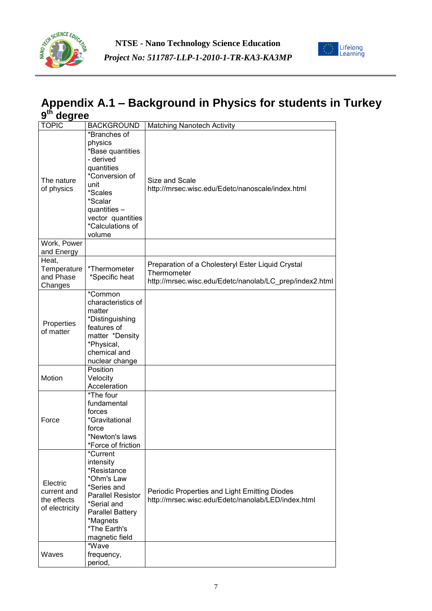



#### **Appendix A.1 – Background in Physics for students in Turkey 9 th degree**

| <b>TOPIC</b>                                             | <b>BACKGROUND</b>                                                                                                                                                                         | <b>Matching Nanotech Activity</b>                                                                                           |
|----------------------------------------------------------|-------------------------------------------------------------------------------------------------------------------------------------------------------------------------------------------|-----------------------------------------------------------------------------------------------------------------------------|
| The nature<br>of physics                                 | *Branches of<br>physics<br>*Base quantities<br>- derived<br>quantities<br>*Conversion of<br>unit<br>*Scales<br>*Scalar<br>quantities -<br>vector quantities<br>*Calculations of<br>volume | Size and Scale<br>http://mrsec.wisc.edu/Edetc/nanoscale/index.html                                                          |
| Work, Power<br>and Energy                                |                                                                                                                                                                                           |                                                                                                                             |
| Heat,<br>Temperature<br>and Phase<br>Changes             | *Thermometer<br>*Specific heat                                                                                                                                                            | Preparation of a Cholesteryl Ester Liquid Crystal<br>Thermometer<br>http://mrsec.wisc.edu/Edetc/nanolab/LC prep/index2.html |
| Properties<br>of matter                                  | *Common<br>characteristics of<br>matter<br>*Distinguishing<br>features of<br>matter *Density<br>*Physical,<br>chemical and<br>nuclear change                                              |                                                                                                                             |
| Motion                                                   | Position<br>Velocity<br>Acceleration                                                                                                                                                      |                                                                                                                             |
| Force                                                    | *The four<br>fundamental<br>forces<br>*Gravitational<br>force<br>*Newton's laws<br>*Force of friction                                                                                     |                                                                                                                             |
| Electric<br>current and<br>the effects<br>of electricity | *Current<br>intensity<br>*Resistance<br>*Ohm's Law<br>*Series and<br><b>Parallel Resistor</b><br>*Serial and<br><b>Parallel Battery</b><br>*Magnets<br>*The Earth's<br>magnetic field     | Periodic Properties and Light Emitting Diodes<br>http://mrsec.wisc.edu/Edetc/nanolab/LED/index.html                         |
| Waves                                                    | *Wave<br>frequency,<br>period,                                                                                                                                                            |                                                                                                                             |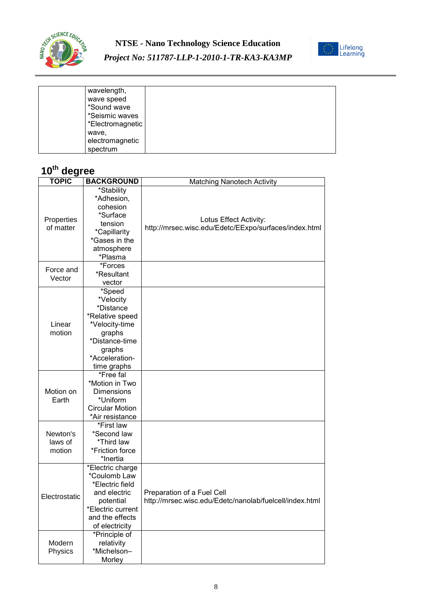



#### *Project No: 511787-LLP-1-2010-1-TR-KA3-KA3MP*

| wavelength,      |  |  |
|------------------|--|--|
| wave speed       |  |  |
| *Sound wave      |  |  |
|                  |  |  |
| *Seismic waves   |  |  |
| *Electromagnetic |  |  |
| wave,            |  |  |
| electromagnetic  |  |  |
| spectrum         |  |  |

| <b>TOPIC</b>  | <b>BACKGROUND</b>                 | <b>Matching Nanotech Activity</b>                       |
|---------------|-----------------------------------|---------------------------------------------------------|
|               | *Stability                        |                                                         |
|               | *Adhesion,                        |                                                         |
|               | cohesion                          |                                                         |
| Properties    | *Surface                          | Lotus Effect Activity:                                  |
| of matter     | tension                           | http://mrsec.wisc.edu/Edetc/EExpo/surfaces/index.html   |
|               | *Capillarity                      |                                                         |
|               | *Gases in the                     |                                                         |
|               | atmosphere                        |                                                         |
|               | *Plasma                           |                                                         |
| Force and     | *Forces                           |                                                         |
| Vector        | *Resultant                        |                                                         |
|               | vector                            |                                                         |
|               | *Speed                            |                                                         |
|               | *Velocity<br>*Distance            |                                                         |
|               |                                   |                                                         |
| Linear        | *Relative speed<br>*Velocity-time |                                                         |
| motion        | graphs                            |                                                         |
|               | *Distance-time                    |                                                         |
|               | graphs                            |                                                         |
|               | *Acceleration-                    |                                                         |
|               | time graphs                       |                                                         |
|               | *Free fal                         |                                                         |
|               | *Motion in Two                    |                                                         |
| Motion on     | Dimensions                        |                                                         |
| Earth         | *Uniform                          |                                                         |
|               | <b>Circular Motion</b>            |                                                         |
|               | *Air resistance                   |                                                         |
|               | *First law                        |                                                         |
| Newton's      | *Second law                       |                                                         |
| laws of       | *Third law                        |                                                         |
| motion        | *Friction force                   |                                                         |
|               | *Inertia                          |                                                         |
|               | *Electric charge                  |                                                         |
|               | *Coulomb Law                      |                                                         |
| Electrostatic | *Electric field                   | Preparation of a Fuel Cell                              |
|               | and electric                      |                                                         |
|               | potential<br>*Electric current    | http://mrsec.wisc.edu/Edetc/nanolab/fuelcell/index.html |
|               | and the effects                   |                                                         |
|               | of electricity                    |                                                         |
|               | *Principle of                     |                                                         |
| Modern        | relativity                        |                                                         |
| Physics       | *Michelson-                       |                                                         |
|               | Morley                            |                                                         |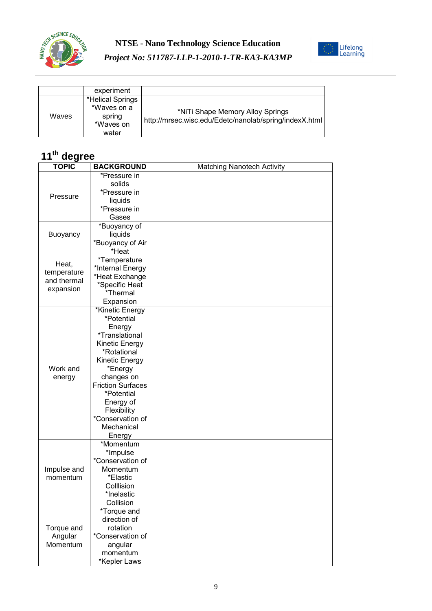



|       | experiment                                                      |                                                                                            |
|-------|-----------------------------------------------------------------|--------------------------------------------------------------------------------------------|
| Waves | *Helical Springs<br>*Waves on a<br>spring<br>*Waves on<br>water | *NiTi Shape Memory Alloy Springs<br>http://mrsec.wisc.edu/Edetc/nanolab/spring/indexX.html |

| <b>TOPIC</b>                      |                              |                                   |
|-----------------------------------|------------------------------|-----------------------------------|
|                                   | <b>BACKGROUND</b>            | <b>Matching Nanotech Activity</b> |
| Pressure                          | *Pressure in                 |                                   |
|                                   | solids                       |                                   |
|                                   | *Pressure in                 |                                   |
|                                   | liquids                      |                                   |
|                                   | *Pressure in                 |                                   |
|                                   | Gases                        |                                   |
|                                   | *Buoyancy of                 |                                   |
| Buoyancy                          | liquids                      |                                   |
|                                   | *Buoyancy of Air             |                                   |
|                                   | *Heat                        |                                   |
|                                   | *Temperature                 |                                   |
| Heat,                             | *Internal Energy             |                                   |
| temperature                       | *Heat Exchange               |                                   |
| and thermal                       | *Specific Heat               |                                   |
| expansion                         | *Thermal                     |                                   |
|                                   | Expansion                    |                                   |
|                                   | *Kinetic Energy              |                                   |
|                                   | *Potential                   |                                   |
|                                   |                              |                                   |
|                                   | Energy                       |                                   |
|                                   | <i><b>*Translational</b></i> |                                   |
|                                   | Kinetic Energy               |                                   |
|                                   | *Rotational                  |                                   |
|                                   | Kinetic Energy               |                                   |
| Work and                          | *Energy                      |                                   |
| energy                            | changes on                   |                                   |
|                                   | <b>Friction Surfaces</b>     |                                   |
|                                   | *Potential                   |                                   |
|                                   | Energy of                    |                                   |
|                                   | Flexibility                  |                                   |
|                                   | *Conservation of             |                                   |
|                                   | Mechanical                   |                                   |
|                                   | Energy                       |                                   |
|                                   | *Momentum                    |                                   |
|                                   | *Impulse                     |                                   |
|                                   | *Conservation of             |                                   |
| Impulse and                       | Momentum                     |                                   |
| momentum                          | *Elastic                     |                                   |
|                                   | Colllision                   |                                   |
|                                   | *Inelastic                   |                                   |
|                                   | Collision                    |                                   |
|                                   | *Torque and                  |                                   |
| Torque and<br>Angular<br>Momentum | direction of                 |                                   |
|                                   | rotation                     |                                   |
|                                   | *Conservation of             |                                   |
|                                   | angular                      |                                   |
|                                   | momentum                     |                                   |
|                                   | *Kepler Laws                 |                                   |
|                                   |                              |                                   |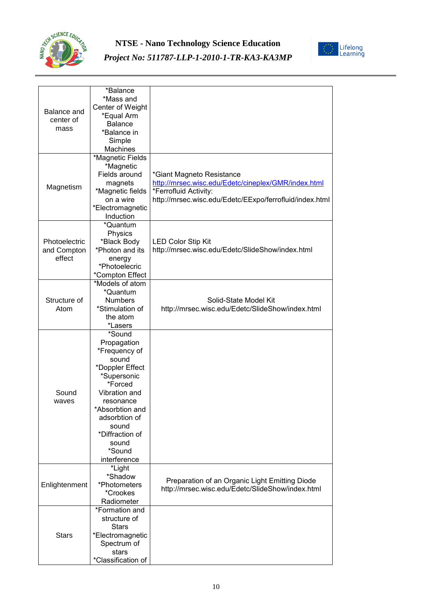



| Balance and<br>center of<br>mass | *Balance<br>*Mass and<br>Center of Weight<br>*Equal Arm<br><b>Balance</b> |                                                                                                    |
|----------------------------------|---------------------------------------------------------------------------|----------------------------------------------------------------------------------------------------|
|                                  | *Balance in<br>Simple                                                     |                                                                                                    |
|                                  | Machines                                                                  |                                                                                                    |
|                                  | *Magnetic Fields                                                          |                                                                                                    |
|                                  | *Magnetic<br>Fields around                                                | *Giant Magneto Resistance                                                                          |
|                                  | magnets                                                                   | http://mrsec.wisc.edu/Edetc/cineplex/GMR/index.html                                                |
| Magnetism                        | *Magnetic fields                                                          | *Ferrofluid Activity:                                                                              |
|                                  | on a wire                                                                 | http://mrsec.wisc.edu/Edetc/EExpo/ferrofluid/index.html                                            |
|                                  | *Electromagnetic                                                          |                                                                                                    |
|                                  | Induction                                                                 |                                                                                                    |
|                                  | *Quantum                                                                  |                                                                                                    |
|                                  | Physics                                                                   |                                                                                                    |
| Photoelectric<br>and Compton     | *Black Body<br>*Photon and its                                            | <b>LED Color Stip Kit</b><br>http://mrsec.wisc.edu/Edetc/SlideShow/index.html                      |
| effect                           | energy                                                                    |                                                                                                    |
|                                  | *Photoelecric                                                             |                                                                                                    |
|                                  | *Compton Effect                                                           |                                                                                                    |
|                                  | *Models of atom                                                           |                                                                                                    |
|                                  | *Quantum                                                                  |                                                                                                    |
| Structure of                     | <b>Numbers</b>                                                            | Solid-State Model Kit                                                                              |
| Atom                             | *Stimulation of<br>the atom                                               | http://mrsec.wisc.edu/Edetc/SlideShow/index.html                                                   |
|                                  | *Lasers                                                                   |                                                                                                    |
|                                  | *Sound                                                                    |                                                                                                    |
|                                  | Propagation                                                               |                                                                                                    |
|                                  | *Frequency of                                                             |                                                                                                    |
|                                  | sound                                                                     |                                                                                                    |
|                                  | *Doppler Effect                                                           |                                                                                                    |
|                                  | *Supersonic<br>*Forced                                                    |                                                                                                    |
| Sound                            | Vibration and                                                             |                                                                                                    |
| waves                            | resonance                                                                 |                                                                                                    |
|                                  | *Absorbtion and                                                           |                                                                                                    |
|                                  | adsorbtion of                                                             |                                                                                                    |
|                                  | sound                                                                     |                                                                                                    |
|                                  | *Diffraction of                                                           |                                                                                                    |
|                                  | sound<br>*Sound                                                           |                                                                                                    |
|                                  | interference                                                              |                                                                                                    |
|                                  | *Light                                                                    |                                                                                                    |
| Enlightenment                    | *Shadow                                                                   |                                                                                                    |
|                                  | *Photometers                                                              | Preparation of an Organic Light Emitting Diode<br>http://mrsec.wisc.edu/Edetc/SlideShow/index.html |
|                                  | *Crookes                                                                  |                                                                                                    |
|                                  | Radiometer                                                                |                                                                                                    |
| <b>Stars</b>                     | *Formation and                                                            |                                                                                                    |
|                                  | structure of<br><b>Stars</b>                                              |                                                                                                    |
|                                  | *Electromagnetic                                                          |                                                                                                    |
|                                  | Spectrum of                                                               |                                                                                                    |
|                                  | stars                                                                     |                                                                                                    |
|                                  | *Classification of                                                        |                                                                                                    |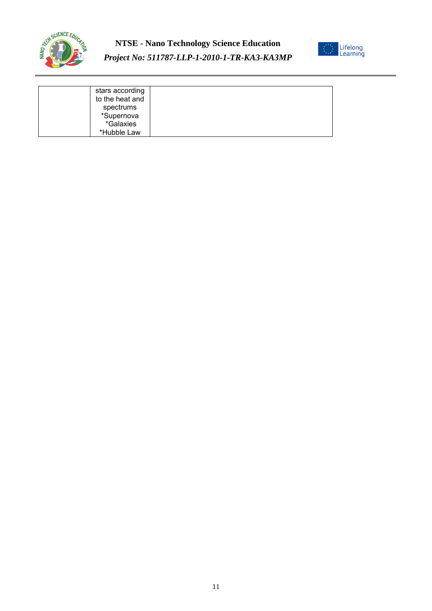

#### **NTSE - Nano Technology Science Education** *Project No: 511787-LLP-1-2010-1-TR-KA3-KA3MP*



| stars according |  |
|-----------------|--|
| to the heat and |  |
| spectrums       |  |
| *Supernova      |  |
| *Galaxies       |  |
| *Hubble Law     |  |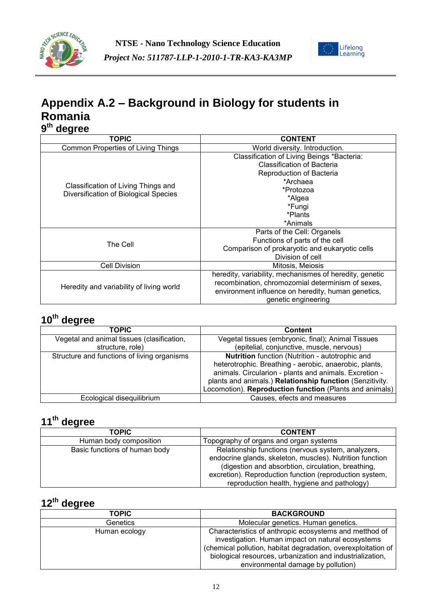



### **Appendix A.2 – Background in Biology for students in Romania 9 th degree**

| TOPIC                                                                        | <b>CONTENT</b>                                          |
|------------------------------------------------------------------------------|---------------------------------------------------------|
| <b>Common Properties of Living Things</b>                                    | World diversity. Introduction.                          |
|                                                                              | Classification of Living Beings *Bacteria:              |
|                                                                              | <b>Classification of Bacteria</b>                       |
|                                                                              | Reproduction of Bacteria                                |
|                                                                              | *Archaea                                                |
| Classification of Living Things and<br>Diversification of Biological Species | *Protozoa                                               |
|                                                                              | *Algea                                                  |
|                                                                              | *Fungi                                                  |
|                                                                              | *Plants                                                 |
|                                                                              | *Animals                                                |
|                                                                              | Parts of the Cell: Organels                             |
| The Cell                                                                     | Functions of parts of the cell                          |
|                                                                              | Comparison of prokaryotic and eukaryotic cells          |
|                                                                              | Division of cell                                        |
| <b>Cell Division</b>                                                         | Mitosis, Meiosis                                        |
|                                                                              | heredity, variability, mechanismes of heredity, genetic |
|                                                                              | recombination, chromozomial determinism of sexes,       |
| Heredity and variability of living world                                     | environment influence on heredity, human genetics,      |
|                                                                              | genetic engineering                                     |

## **10th degree**

| <b>TOPIC</b>                                | <b>Content</b>                                           |
|---------------------------------------------|----------------------------------------------------------|
| Vegetal and animal tissues (clasification,  | Vegetal tissues (embryonic, final); Animal Tissues       |
| structure, role)                            | (epitelial, conjunctive, muscle, nervous)                |
| Structure and functions of living organisms | Nutrition function (Nutrition - autotrophic and          |
|                                             | heterotrophic. Breathing - aerobic, anaerobic, plants,   |
|                                             | animals. Circularion - plants and animals. Excretion -   |
|                                             | plants and animals.) Relationship function (Senzitivity. |
|                                             | Locomotion). Reproduction function (Plants and animals)  |
| Ecological disequilibrium                   | Causes, efects and measures                              |

## **11th degree**

| <b>TOPIC</b>                  | <b>CONTENT</b>                                                                                                                                                                                                                                                                 |
|-------------------------------|--------------------------------------------------------------------------------------------------------------------------------------------------------------------------------------------------------------------------------------------------------------------------------|
| Human body composition        | Topography of organs and organ systems                                                                                                                                                                                                                                         |
| Basic functions of human body | Relationship functions (nervous system, analyzers,<br>endocrine glands, skeleton, muscles). Nutrition function<br>(digestion and absorbtion, circulation, breathing,<br>excretion). Reproduction function (reproduction system,<br>reproduction health, hygiene and pathology) |

| <b>TOPIC</b>  | <b>BACKGROUND</b>                                                                                                                                                                                                                                                               |
|---------------|---------------------------------------------------------------------------------------------------------------------------------------------------------------------------------------------------------------------------------------------------------------------------------|
| Genetics      | Molecular genetics. Human genetics.                                                                                                                                                                                                                                             |
| Human ecology | Characteristics of anthropic ecosystems and metthod of<br>investigation. Human impact on natural ecosystems<br>(chemical pollution, habitat degradation, overexploitation of<br>biological resources, urbanization and industrialization,<br>environmental damage by pollution) |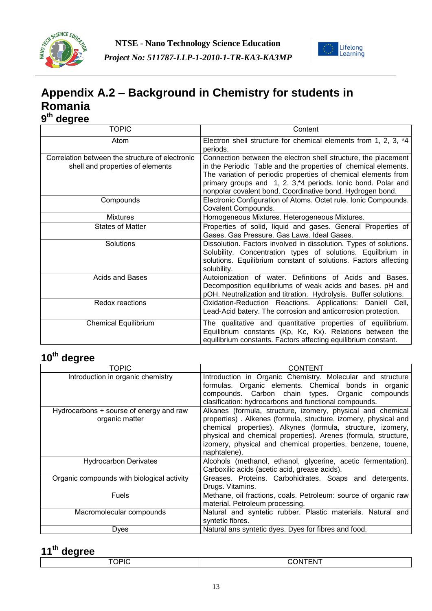



### **Appendix A.2 – Background in Chemistry for students in Romania 9 th degree**

| uvyı vv<br><b>TOPIC</b>                         | Content                                                           |
|-------------------------------------------------|-------------------------------------------------------------------|
|                                                 |                                                                   |
| Atom                                            | Electron shell structure for chemical elements from 1, 2, 3, *4   |
|                                                 | periods.                                                          |
| Correlation between the structure of electronic | Connection between the electron shell structure, the placement    |
| shell and properties of elements                | in the Periodic Table and the properties of chemical elements.    |
|                                                 | The variation of periodic properties of chemical elements from    |
|                                                 | primary groups and 1, 2, 3,*4 periods. Ionic bond. Polar and      |
|                                                 | nonpolar covalent bond. Coordinative bond. Hydrogen bond.         |
| Compounds                                       | Electronic Configuration of Atoms. Octet rule. Ionic Compounds.   |
|                                                 | Covalent Compounds.                                               |
| <b>Mixtures</b>                                 | Homogeneous Mixtures. Heterogeneous Mixtures.                     |
| <b>States of Matter</b>                         | Properties of solid, liquid and gases. General Properties of      |
|                                                 | Gases. Gas Pressure. Gas Laws. Ideal Gases.                       |
| Solutions                                       | Dissolution. Factors involved in dissolution. Types of solutions. |
|                                                 | Solubility. Concentration types of solutions. Equilbrium in       |
|                                                 | solutions. Equilibrium constant of solutions. Factors affecting   |
|                                                 | solubility.                                                       |
| <b>Acids and Bases</b>                          | Autoionization of water. Definitions of Acids and<br>Bases.       |
|                                                 | Decomposition equilibriums of weak acids and bases. pH and        |
|                                                 | pOH. Neutralization and titration. Hydrolysis. Buffer solutions.  |
| Redox reactions                                 | Oxidation-Reduction Reactions. Applications: Daniell Cell,        |
|                                                 | Lead-Acid batery. The corrosion and anticorrosion protection.     |
| <b>Chemical Equilibrium</b>                     | The qualitative and quantitative properties of equilibrium.       |
|                                                 | Equilibrium constants (Kp, Kc, Kx). Relations between the         |
|                                                 | equilibrium constants. Factors affecting equilibrium constant.    |

#### **10th degree**

| TOPIC                                                     | CONTENT                                                                                                                                                                                                                                                                                                                                        |
|-----------------------------------------------------------|------------------------------------------------------------------------------------------------------------------------------------------------------------------------------------------------------------------------------------------------------------------------------------------------------------------------------------------------|
| Introduction in organic chemistry                         | Introduction in Organic Chemistry. Molecular and structure<br>formulas. Organic elements. Chemical bonds in organic<br>compounds. Carbon chain types. Organic compounds<br>clasification: hydrocarbons and functional compounds.                                                                                                               |
| Hydrocarbons + sourse of energy and raw<br>organic matter | Alkanes (formula, structure, izomery, physical and chemical<br>properties). Alkenes (formula, structure, izomery, physical and<br>chemical properties). Alkynes (formula, structure, izomery,<br>physical and chemical properties). Arenes (formula, structure,<br>izomery, physical and chemical properties, benzene, touene,<br>naphtalene). |
| <b>Hydrocarbon Derivates</b>                              | Alcohols (methanol, ethanol, glycerine, acetic fermentation).<br>Carboxilic acids (acetic acid, grease acids).                                                                                                                                                                                                                                 |
| Organic compounds with biological activity                | Greases. Proteins. Carbohidrates. Soaps and detergents.<br>Drugs. Vitamins.                                                                                                                                                                                                                                                                    |
| <b>Fuels</b>                                              | Methane, oil fractions, coals. Petroleum: source of organic raw<br>material. Petroleum processing.                                                                                                                                                                                                                                             |
| Macromolecular compounds                                  | Natural and syntetic rubber. Plastic materials. Natural and<br>syntetic fibres.                                                                                                                                                                                                                                                                |
| Dyes                                                      | Natural ans syntetic dyes. Dyes for fibres and food.                                                                                                                                                                                                                                                                                           |

| ----<br>__               |       |
|--------------------------|-------|
| <b>TOPIC</b>             | ___   |
| $\overline{\phantom{a}}$ | - INI |
| . .                      | `−N.  |
|                          |       |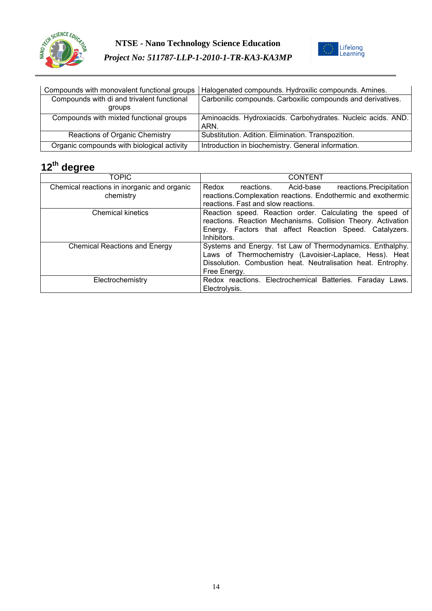



| Compounds with monovalent functional groups | Halogenated compounds. Hydroxilic compounds. Amines.         |
|---------------------------------------------|--------------------------------------------------------------|
| Compounds with di and trivalent functional  | Carbonilic compounds. Carboxilic compounds and derivatives.  |
| groups                                      |                                                              |
| Compounds with mixted functional groups     | Aminoacids. Hydroxiacids. Carbohydrates. Nucleic acids. AND. |
|                                             | ARN.                                                         |
| Reactions of Organic Chemistry              | Substitution. Adition. Elimination. Transpozition.           |
| Organic compounds with biological activity  | Introduction in biochemistry. General information.           |

| <b>TOPIC</b>                                | <b>CONTENT</b>                                                                                                                                                                                       |
|---------------------------------------------|------------------------------------------------------------------------------------------------------------------------------------------------------------------------------------------------------|
| Chemical reactions in inorganic and organic | Redox<br>reactions. Precipitation<br>Acid-base<br>reactions.                                                                                                                                         |
| chemistry                                   | reactions. Complexation reactions. Endothermic and exothermic                                                                                                                                        |
|                                             | reactions. Fast and slow reactions.                                                                                                                                                                  |
| <b>Chemical kinetics</b>                    | Reaction speed. Reaction order. Calculating the speed of<br>reactions. Reaction Mechanisms. Collision Theory. Activation<br>Energy. Factors that affect Reaction Speed. Catalyzers.<br>Inhibitors.   |
| <b>Chemical Reactions and Energy</b>        | Systems and Energy. 1st Law of Thermodynamics. Enthalphy.<br>Laws of Thermochemistry (Lavoisier-Laplace, Hess). Heat<br>Dissolution. Combustion heat. Neutralisation heat. Entrophy.<br>Free Energy. |
| Electrochemistry                            | Redox reactions. Electrochemical Batteries. Faraday<br>Laws.<br>Electrolysis.                                                                                                                        |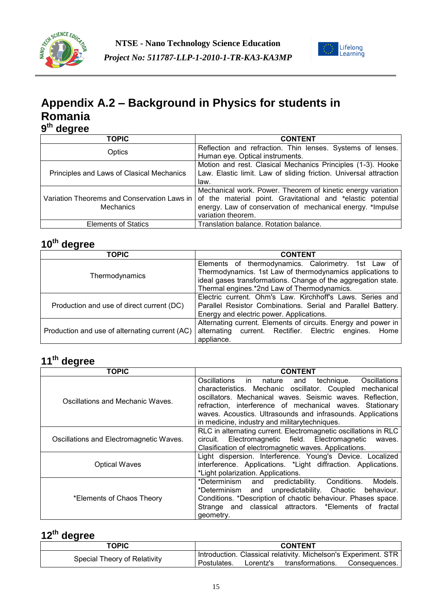



### **Appendix A.2 – Background in Physics for students in Romania 9 th degree**

| ---<br><b>TOPIC</b>                                        | <b>CONTENT</b>                                                                                                                                                                                                 |
|------------------------------------------------------------|----------------------------------------------------------------------------------------------------------------------------------------------------------------------------------------------------------------|
| Optics                                                     | Reflection and refraction. Thin lenses. Systems of lenses.<br>Human eye. Optical instruments.                                                                                                                  |
| Principles and Laws of Clasical Mechanics                  | Motion and rest. Clasical Mechanics Principles (1-3). Hooke<br>Law. Elastic limit. Law of sliding friction. Universal attraction<br>law.                                                                       |
| Variation Theorems and Conservation Laws in  <br>Mechanics | Mechanical work. Power. Theorem of kinetic energy variation<br>of the material point. Gravitational and *elastic potential<br>energy. Law of conservation of mechanical energy. *Impulse<br>variation theorem. |
| <b>Elements of Statics</b>                                 | Translation balance. Rotation balance.                                                                                                                                                                         |

### **10th degree**

| <b>TOPIC</b>                                   | <b>CONTENT</b>                                                 |  |  |
|------------------------------------------------|----------------------------------------------------------------|--|--|
|                                                | Elements of thermodynamics. Calorimetry. 1st Law of            |  |  |
| Thermodynamics                                 | Thermodynamics. 1st Law of thermodynamics applications to      |  |  |
|                                                | ideal gases transformations. Change of the aggregation state.  |  |  |
|                                                | Thermal engines.*2nd Law of Thermodynamics.                    |  |  |
|                                                | Electric current. Ohm's Law. Kirchhoff's Laws. Series and      |  |  |
| Production and use of direct current (DC)      | Parallel Resistor Combinations. Serial and Parallel Battery.   |  |  |
|                                                | Energy and electric power. Applications.                       |  |  |
|                                                | Alternating current. Elements of circuits. Energy and power in |  |  |
| Production and use of alternating current (AC) | alternating current. Rectifier. Electric<br>engines.<br>Home   |  |  |
|                                                | appliance.                                                     |  |  |

#### **11th degree**

| <b>TOPIC</b>                                                                                                                                                                             | <b>CONTENT</b>                                                                                                                                                                                                                                                                                                                                                                             |  |  |
|------------------------------------------------------------------------------------------------------------------------------------------------------------------------------------------|--------------------------------------------------------------------------------------------------------------------------------------------------------------------------------------------------------------------------------------------------------------------------------------------------------------------------------------------------------------------------------------------|--|--|
| Oscillations and Mechanic Waves.                                                                                                                                                         | <b>Oscillations</b><br>Oscillations<br>technique.<br>nature<br>and<br>in.<br>oscillator. Coupled<br>mechanical<br>characteristics. Mechanic<br>Mechanical waves. Seismic waves. Reflection,<br>oscillators.<br>refraction, interference of mechanical waves.<br>Stationary<br>waves. Acoustics. Ultrasounds and infrasounds. Applications<br>in medicine, industry and militarytechniques. |  |  |
| Oscillations and Electromagnetic Waves.                                                                                                                                                  | RLC in alternating current. Electromagnetic oscillations in RLC<br>Electromagnetic field. Electromagnetic<br>circuit.<br>waves.<br>Clasification of electromagnetic waves. Applications.                                                                                                                                                                                                   |  |  |
| Light dispersion. Interference. Young's Device. Localized<br>interference. Applications. *Light diffraction. Applications.<br><b>Optical Waves</b><br>*Light polarization. Applications. |                                                                                                                                                                                                                                                                                                                                                                                            |  |  |
| *Elements of Chaos Theory                                                                                                                                                                | Models.<br>*Determinism<br>predictability.<br>Conditions.<br>and<br>unpredictability.<br>Chaotic<br>*Determinism<br>and<br>behaviour.<br>Conditions. *Description of chaotic behaviour. Phases space.<br>Strange and classical attractors. *Elements of fractal<br>geometry.                                                                                                               |  |  |

| <b>TOPIC</b>                 | <b>CONTENT</b> |           |                                                                 |               |
|------------------------------|----------------|-----------|-----------------------------------------------------------------|---------------|
| Special Theory of Relativity |                |           | Introduction. Classical relativity. Michelson's Experiment. STR |               |
|                              | Postulates.    | Lorentz's | transformations.                                                | Consequences. |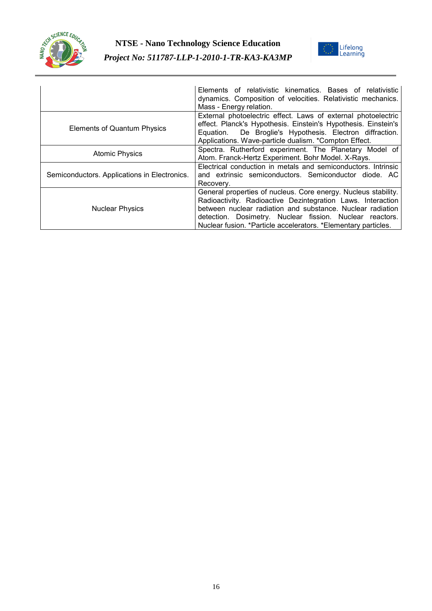



|                                              | Elements of relativistic kinematics. Bases of relativistic<br>dynamics. Composition of velocities. Relativistic mechanics.<br>Mass - Energy relation.                                                                                                                                                                     |
|----------------------------------------------|---------------------------------------------------------------------------------------------------------------------------------------------------------------------------------------------------------------------------------------------------------------------------------------------------------------------------|
| <b>Elements of Quantum Physics</b>           | External photoelectric effect. Laws of external photoelectric<br>effect. Planck's Hypothesis. Einstein's Hypothesis. Einstein's<br>De Broglie's Hypothesis. Electron diffraction.<br>Equation.<br>Applications. Wave-particle dualism. *Compton Effect.                                                                   |
| <b>Atomic Physics</b>                        | Spectra. Rutherford experiment. The Planetary Model of<br>Atom. Franck-Hertz Experiment. Bohr Model. X-Rays.                                                                                                                                                                                                              |
| Semiconductors. Applications in Electronics. | Electrical conduction in metals and semiconductors. Intrinsic<br>and extrinsic semiconductors. Semiconductor diode. AC<br>Recovery.                                                                                                                                                                                       |
| <b>Nuclear Physics</b>                       | General properties of nucleus. Core energy. Nucleus stability.<br>Radioactivity. Radioactive Dezintegration Laws. Interaction<br>between nuclear radiation and substance. Nuclear radiation<br>detection. Dosimetry. Nuclear fission. Nuclear reactors.<br>Nuclear fusion. *Particle accelerators. *Elementary particles. |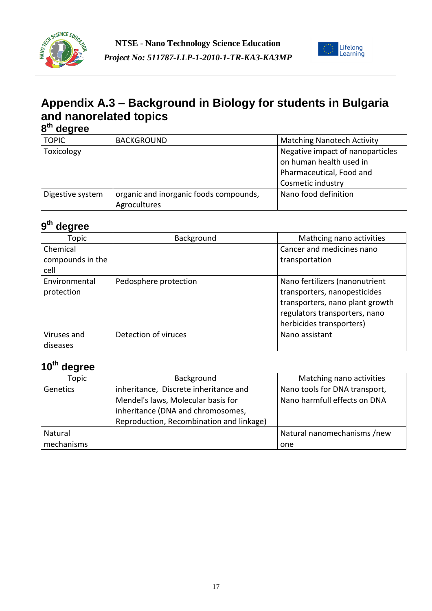



# **Appendix A.3 – Background in Biology for students in Bulgaria and nanorelated topics**

| 8 <sup>th</sup> degree |                                        |                                   |
|------------------------|----------------------------------------|-----------------------------------|
| <b>TOPIC</b>           | <b>BACKGROUND</b>                      | <b>Matching Nanotech Activity</b> |
| Toxicology             |                                        | Negative impact of nanoparticles  |
|                        |                                        | on human health used in           |
|                        |                                        | Pharmaceutical, Food and          |
|                        |                                        | Cosmetic industry                 |
| Digestive system       | organic and inorganic foods compounds, | Nano food definition              |
|                        | Agrocultures                           |                                   |

#### **9 th degree**

| Topic                       | Background            | Mathcing nano activities                                                                          |
|-----------------------------|-----------------------|---------------------------------------------------------------------------------------------------|
| Chemical                    |                       | Cancer and medicines nano                                                                         |
| compounds in the            |                       | transportation                                                                                    |
| cell                        |                       |                                                                                                   |
| Environmental<br>protection | Pedosphere protection | Nano fertilizers (nanonutrient<br>transporters, nanopesticides<br>transporters, nano plant growth |
|                             |                       | regulators transporters, nano                                                                     |
|                             |                       | herbicides transporters)                                                                          |
| Viruses and                 | Detection of viruces  | Nano assistant                                                                                    |
| diseases                    |                       |                                                                                                   |

| Topic      | Background                               | Matching nano activities      |
|------------|------------------------------------------|-------------------------------|
| Genetics   | inheritance, Discrete inheritance and    | Nano tools for DNA transport, |
|            | Mendel's laws, Molecular basis for       | Nano harmfull effects on DNA  |
|            | inheritance (DNA and chromosomes,        |                               |
|            | Reproduction, Recombination and linkage) |                               |
| Natural    |                                          | Natural nanomechanisms /new   |
| mechanisms |                                          | one                           |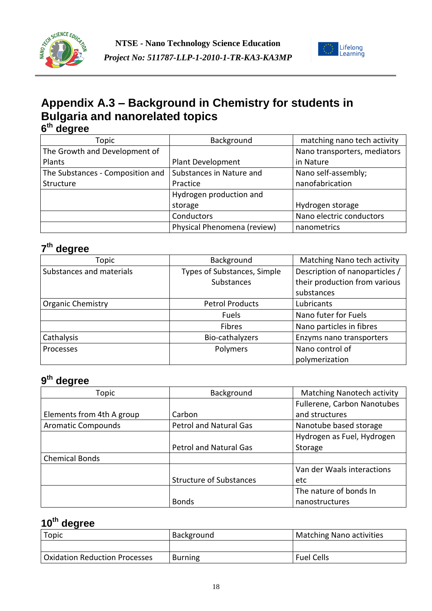



### **Appendix A.3 – Background in Chemistry for students in Bulgaria and nanorelated topics 6 th degree**

| Topic                            | Background                  | matching nano tech activity  |
|----------------------------------|-----------------------------|------------------------------|
| The Growth and Development of    |                             | Nano transporters, mediators |
| Plants                           | Plant Development           | in Nature                    |
| The Substances - Composition and | Substances in Nature and    | Nano self-assembly;          |
| Structure                        | Practice                    | nanofabrication              |
|                                  | Hydrogen production and     |                              |
|                                  | storage                     | Hydrogen storage             |
|                                  | Conductors                  | Nano electric conductors     |
|                                  | Physical Phenomena (review) | nanometrics                  |

#### **7 th degree**

| Topic                    | Background                  | Matching Nano tech activity    |
|--------------------------|-----------------------------|--------------------------------|
| Substances and materials | Types of Substances, Simple | Description of nanoparticles / |
|                          | <b>Substances</b>           | their production from various  |
|                          |                             | substances                     |
| <b>Organic Chemistry</b> | <b>Petrol Products</b>      | Lubricants                     |
|                          | <b>Fuels</b>                | Nano futer for Fuels           |
|                          | <b>Fibres</b>               | Nano particles in fibres       |
| Cathalysis               | Bio-cathalyzers             | Enzyms nano transporters       |
| <b>Processes</b>         | Polymers                    | Nano control of                |
|                          |                             | polymerization                 |

#### **9 th degree**

| Topic                     | Background                     | <b>Matching Nanotech activity</b> |
|---------------------------|--------------------------------|-----------------------------------|
|                           |                                | Fullerene, Carbon Nanotubes       |
| Elements from 4th A group | Carbon                         | and structures                    |
| <b>Aromatic Compounds</b> | Petrol and Natural Gas         | Nanotube based storage            |
|                           |                                | Hydrogen as Fuel, Hydrogen        |
|                           | <b>Petrol and Natural Gas</b>  | Storage                           |
| <b>Chemical Bonds</b>     |                                |                                   |
|                           |                                | Van der Waals interactions        |
|                           | <b>Structure of Substances</b> | etc                               |
|                           |                                | The nature of bonds In            |
|                           | <b>Bonds</b>                   | nanostructures                    |

| Topic                                | Background     | Matching Nano activities |
|--------------------------------------|----------------|--------------------------|
|                                      |                |                          |
| <b>Oxidation Reduction Processes</b> | <b>Burning</b> | <b>Fuel Cells</b>        |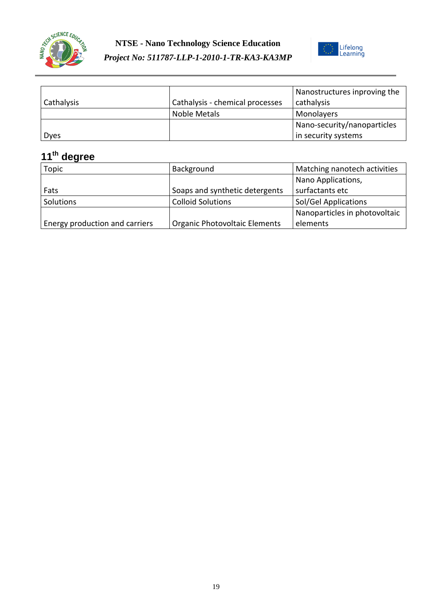



| Cathalysis | Cathalysis - chemical processes | Nanostructures inproving the<br>cathalysis |
|------------|---------------------------------|--------------------------------------------|
|            | Noble Metals                    | Monolayers                                 |
|            |                                 | Nano-security/nanoparticles                |
| Dyes       |                                 | in security systems                        |

| Topic                          | Background                     | Matching nanotech activities  |
|--------------------------------|--------------------------------|-------------------------------|
|                                |                                | Nano Applications,            |
| Fats                           | Soaps and synthetic detergents | surfactants etc               |
| Solutions                      | <b>Colloid Solutions</b>       | Sol/Gel Applications          |
|                                |                                | Nanoparticles in photovoltaic |
| Energy production and carriers | Organic Photovoltaic Elements  | elements                      |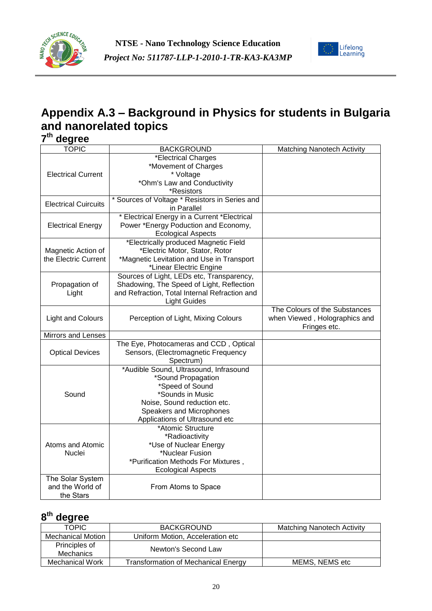



## **Appendix A.3 – Background in Physics for students in Bulgaria and nanorelated topics**

**7 th degree**

| <b>TOPIC</b>                | <b>BACKGROUND</b>                                                                    | <b>Matching Nanotech Activity</b> |
|-----------------------------|--------------------------------------------------------------------------------------|-----------------------------------|
|                             | *Electrical Charges                                                                  |                                   |
|                             | *Movement of Charges                                                                 |                                   |
| <b>Electrical Current</b>   | * Voltage                                                                            |                                   |
|                             | *Ohm's Law and Conductivity                                                          |                                   |
|                             | *Resistors                                                                           |                                   |
| <b>Electrical Cuircuits</b> | * Sources of Voltage * Resistors in Series and                                       |                                   |
|                             | in Parallel                                                                          |                                   |
|                             | * Electrical Energy in a Current *Electrical<br>Power *Energy Poduction and Economy, |                                   |
| <b>Electrical Energy</b>    | <b>Ecological Aspects</b>                                                            |                                   |
|                             | *Electrically produced Magnetic Field                                                |                                   |
| Magnetic Action of          | *Electric Motor, Stator, Rotor                                                       |                                   |
| the Electric Current        | *Magnetic Levitation and Use in Transport                                            |                                   |
|                             | *Linear Electric Engine                                                              |                                   |
|                             | Sources of Light, LEDs etc, Transparency,                                            |                                   |
| Propagation of              | Shadowing, The Speed of Light, Reflection                                            |                                   |
| Light                       | and Refraction, Total Internal Refraction and                                        |                                   |
|                             | <b>Light Guides</b>                                                                  |                                   |
|                             |                                                                                      | The Colours of the Substances     |
| <b>Light and Colours</b>    | Perception of Light, Mixing Colours                                                  | when Viewed, Holographics and     |
|                             |                                                                                      | Fringes etc.                      |
| Mirrors and Lenses          |                                                                                      |                                   |
|                             | The Eye, Photocameras and CCD, Optical                                               |                                   |
| <b>Optical Devices</b>      | Sensors, (Electromagnetic Frequency                                                  |                                   |
|                             | Spectrum)                                                                            |                                   |
|                             | *Audible Sound, Ultrasound, Infrasound<br>*Sound Propagation                         |                                   |
|                             | *Speed of Sound                                                                      |                                   |
| Sound                       | *Sounds in Music                                                                     |                                   |
|                             | Noise, Sound reduction etc.                                                          |                                   |
|                             | Speakers and Microphones                                                             |                                   |
|                             | Applications of Ultrasound etc                                                       |                                   |
|                             | *Atomic Structure                                                                    |                                   |
|                             | *Radioactivity                                                                       |                                   |
| Atoms and Atomic            | *Use of Nuclear Energy                                                               |                                   |
| Nuclei                      | *Nuclear Fusion                                                                      |                                   |
|                             | *Purification Methods For Mixtures,                                                  |                                   |
|                             | <b>Ecological Aspects</b>                                                            |                                   |
| The Solar System            |                                                                                      |                                   |
| and the World of            | From Atoms to Space                                                                  |                                   |
| the Stars                   |                                                                                      |                                   |

| <b>TOPIC</b>             | <b>BACKGROUND</b>                   | <b>Matching Nanotech Activity</b> |
|--------------------------|-------------------------------------|-----------------------------------|
| <b>Mechanical Motion</b> | Uniform Motion, Acceleration etc    |                                   |
| Principles of            | Newton's Second Law                 |                                   |
| Mechanics                |                                     |                                   |
| Mechanical Work          | Transformation of Mechanical Energy | MEMS, NEMS etc                    |
|                          |                                     |                                   |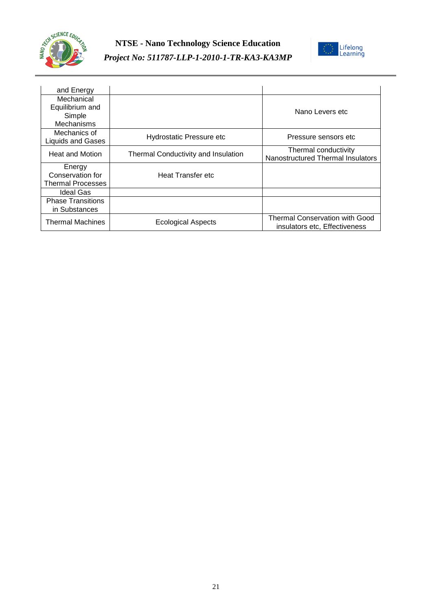



| and Energy               |                                     |                                                                        |
|--------------------------|-------------------------------------|------------------------------------------------------------------------|
| Mechanical               |                                     |                                                                        |
| Equilibrium and          |                                     | Nano Levers etc                                                        |
| Simple                   |                                     |                                                                        |
| Mechanisms               |                                     |                                                                        |
| Mechanics of             | Hydrostatic Pressure etc            | Pressure sensors etc                                                   |
| <b>Liquids and Gases</b> |                                     |                                                                        |
| <b>Heat and Motion</b>   | Thermal Conductivity and Insulation | Thermal conductivity                                                   |
|                          |                                     | Nanostructured Thermal Insulators                                      |
| Energy                   |                                     |                                                                        |
| Conservation for         | Heat Transfer etc                   |                                                                        |
| <b>Thermal Processes</b> |                                     |                                                                        |
| <b>Ideal Gas</b>         |                                     |                                                                        |
| <b>Phase Transitions</b> |                                     |                                                                        |
| in Substances            |                                     |                                                                        |
| <b>Thermal Machines</b>  | Ecological Aspects                  | <b>Thermal Conservation with Good</b><br>insulators etc. Effectiveness |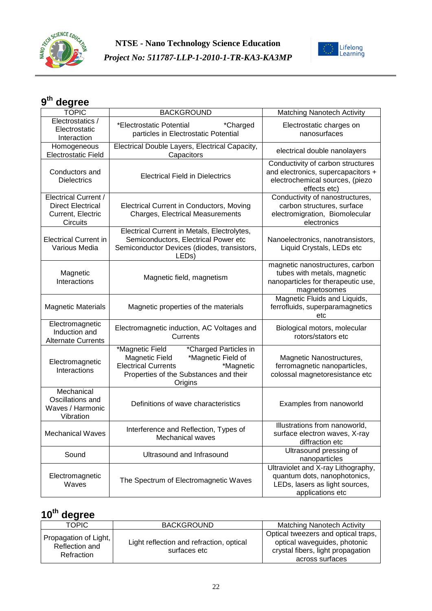



| <b>TOPIC</b>                                                                             | <b>BACKGROUND</b>                                                                                                                                                                | Matching Nanotech Activity                                                                                                 |
|------------------------------------------------------------------------------------------|----------------------------------------------------------------------------------------------------------------------------------------------------------------------------------|----------------------------------------------------------------------------------------------------------------------------|
| Electrostatics /<br>Electrostatic<br>Interaction                                         | *Electrostatic Potential<br>*Charged<br>particles in Electrostatic Potential                                                                                                     | Electrostatic charges on<br>nanosurfaces                                                                                   |
| Homogeneous<br><b>Electrostatic Field</b>                                                | Electrical Double Layers, Electrical Capacity,<br>Capacitors                                                                                                                     | electrical double nanolayers                                                                                               |
| Conductors and<br><b>Dielectrics</b>                                                     | <b>Electrical Field in Dielectrics</b>                                                                                                                                           | Conductivity of carbon structures<br>and electronics, supercapacitors +<br>electrochemical sources, (piezo<br>effects etc) |
| <b>Electrical Current /</b><br><b>Direct Electrical</b><br>Current, Electric<br>Circuits | <b>Electrical Current in Conductors, Moving</b><br>Charges, Electrical Measurements                                                                                              | Conductivity of nanostructures,<br>carbon structures, surface<br>electromigration, Biomolecular<br>electronics             |
| <b>Electrical Current in</b><br>Various Media                                            | Electrical Current in Metals, Electrolytes,<br>Semiconductors, Electrical Power etc<br>Semiconductor Devices (diodes, transistors,<br>LED <sub>s</sub> )                         | Nanoelectronics, nanotransistors,<br>Liquid Crystals, LEDs etc                                                             |
| Magnetic<br>Interactions                                                                 | Magnetic field, magnetism                                                                                                                                                        | magnetic nanostructures, carbon<br>tubes with metals, magnetic<br>nanoparticles for therapeutic use,<br>magnetosomes       |
| <b>Magnetic Materials</b>                                                                | Magnetic properties of the materials                                                                                                                                             | Magnetic Fluids and Liquids,<br>ferrofluids, superparamagnetics<br>etc                                                     |
| Electromagnetic<br>Induction and<br><b>Alternate Currents</b>                            | Electromagnetic induction, AC Voltages and<br>Currents                                                                                                                           | Biological motors, molecular<br>rotors/stators etc                                                                         |
| Electromagnetic<br>Interactions                                                          | *Magnetic Field<br>*Charged Particles in<br>Magnetic Field<br>*Magnetic Field of<br><b>Electrical Currents</b><br>*Magnetic<br>Properties of the Substances and their<br>Origins | Magnetic Nanostructures,<br>ferromagnetic nanoparticles,<br>colossal magnetoresistance etc                                 |
| Mechanical<br>Oscillations and<br>Waves / Harmonic<br>Vibration                          | Definitions of wave characteristics                                                                                                                                              | Examples from nanoworld                                                                                                    |
| <b>Mechanical Waves</b>                                                                  | Interference and Reflection, Types of<br>Mechanical waves                                                                                                                        | Illustrations from nanoworld,<br>surface electron waves, X-ray<br>diffraction etc                                          |
| Sound                                                                                    | Ultrasound and Infrasound                                                                                                                                                        | Ultrasound pressing of<br>nanoparticles                                                                                    |
| Electromagnetic<br>Waves                                                                 | The Spectrum of Electromagnetic Waves                                                                                                                                            | Ultraviolet and X-ray Lithography,<br>quantum dots, nanophotonics,<br>LEDs, lasers as light sources,<br>applications etc   |

| <b>TOPIC</b>                                          | <b>BACKGROUND</b>                                        | <b>Matching Nanotech Activity</b>                                                                                           |
|-------------------------------------------------------|----------------------------------------------------------|-----------------------------------------------------------------------------------------------------------------------------|
| Propagation of Light,<br>Reflection and<br>Refraction | Light reflection and refraction, optical<br>surfaces etc | Optical tweezers and optical traps,<br>optical waveguides, photonic<br>crystal fibers, light propagation<br>across surfaces |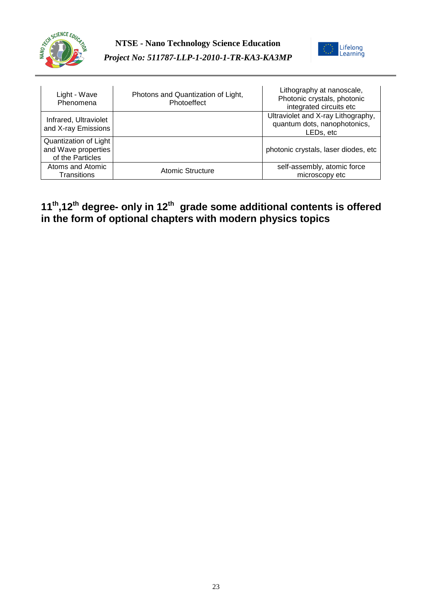



| Light - Wave<br>Phenomena                                        | Photons and Quantization of Light,<br>Photoeffect | Lithography at nanoscale,<br>Photonic crystals, photonic<br>integrated circuits etc |
|------------------------------------------------------------------|---------------------------------------------------|-------------------------------------------------------------------------------------|
| Infrared, Ultraviolet<br>and X-ray Emissions                     |                                                   | Ultraviolet and X-ray Lithography,<br>quantum dots, nanophotonics,<br>LEDs, etc     |
| Quantization of Light<br>and Wave properties<br>of the Particles |                                                   | photonic crystals, laser diodes, etc                                                |
| Atoms and Atomic<br>Transitions                                  | Atomic Structure                                  | self-assembly, atomic force<br>microscopy etc                                       |

#### **11th,12th degree- only in 12th grade some additional contents is offered in the form of optional chapters with modern physics topics**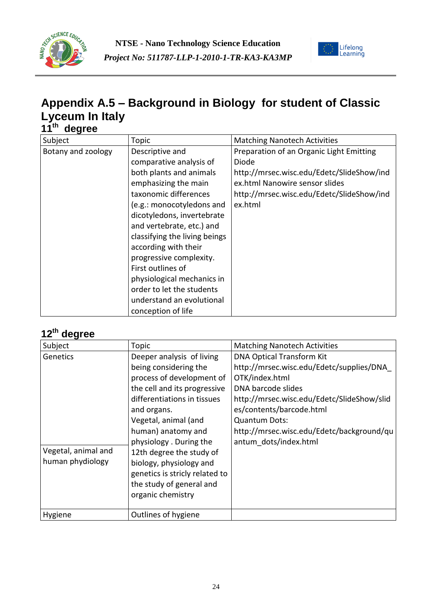



### **Appendix A.5 – Background in Biology for student of Classic Lyceum In Italy 11th degree**

| 99.90              |                                                                                                                                                                                                                                                                                                                                                                                                                                       |                                                                                                                                                                                          |
|--------------------|---------------------------------------------------------------------------------------------------------------------------------------------------------------------------------------------------------------------------------------------------------------------------------------------------------------------------------------------------------------------------------------------------------------------------------------|------------------------------------------------------------------------------------------------------------------------------------------------------------------------------------------|
| Subject            | Topic                                                                                                                                                                                                                                                                                                                                                                                                                                 | <b>Matching Nanotech Activities</b>                                                                                                                                                      |
| Botany and zoology | Descriptive and<br>comparative analysis of<br>both plants and animals<br>emphasizing the main<br>taxonomic differences<br>(e.g.: monocotyledons and<br>dicotyledons, invertebrate<br>and vertebrate, etc.) and<br>classifying the living beings<br>according with their<br>progressive complexity.<br>First outlines of<br>physiological mechanics in<br>order to let the students<br>understand an evolutional<br>conception of life | Preparation of an Organic Light Emitting<br>Diode<br>http://mrsec.wisc.edu/Edetc/SlideShow/ind<br>ex.html Nanowire sensor slides<br>http://mrsec.wisc.edu/Edetc/SlideShow/ind<br>ex.html |

| Subject                                             | Topic                                                                                                                                                                                                                                                                                                                                                                           | <b>Matching Nanotech Activities</b>                                                                                                                                                                                                                                                          |
|-----------------------------------------------------|---------------------------------------------------------------------------------------------------------------------------------------------------------------------------------------------------------------------------------------------------------------------------------------------------------------------------------------------------------------------------------|----------------------------------------------------------------------------------------------------------------------------------------------------------------------------------------------------------------------------------------------------------------------------------------------|
| Genetics<br>Vegetal, animal and<br>human phydiology | Deeper analysis of living<br>being considering the<br>process of development of<br>the cell and its progressive<br>differentiations in tissues<br>and organs.<br>Vegetal, animal (and<br>human) anatomy and<br>physiology. During the<br>12th degree the study of<br>biology, physiology and<br>genetics is stricly related to<br>the study of general and<br>organic chemistry | <b>DNA Optical Transform Kit</b><br>http://mrsec.wisc.edu/Edetc/supplies/DNA<br>OTK/index.html<br>DNA barcode slides<br>http://mrsec.wisc.edu/Edetc/SlideShow/slid<br>es/contents/barcode.html<br><b>Quantum Dots:</b><br>http://mrsec.wisc.edu/Edetc/background/qu<br>antum dots/index.html |
| Hygiene                                             | Outlines of hygiene                                                                                                                                                                                                                                                                                                                                                             |                                                                                                                                                                                                                                                                                              |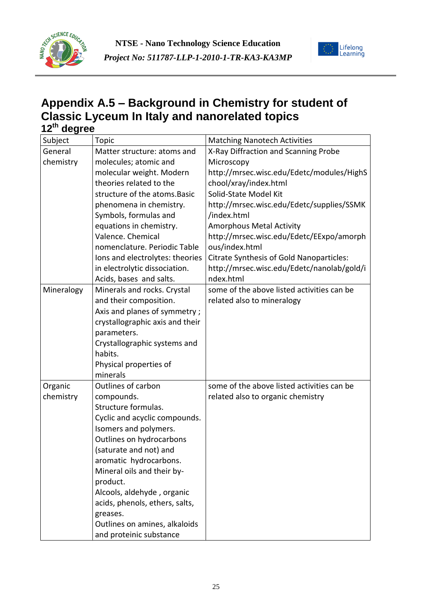



### **Appendix A.5 – Background in Chemistry for student of Classic Lyceum In Italy and nanorelated topics 12th degree**

| Subject    | Topic                           | <b>Matching Nanotech Activities</b>        |
|------------|---------------------------------|--------------------------------------------|
| General    | Matter structure: atoms and     | X-Ray Diffraction and Scanning Probe       |
| chemistry  | molecules; atomic and           | Microscopy                                 |
|            | molecular weight. Modern        | http://mrsec.wisc.edu/Edetc/modules/HighS  |
|            | theories related to the         | chool/xray/index.html                      |
|            | structure of the atoms. Basic   | Solid-State Model Kit                      |
|            | phenomena in chemistry.         | http://mrsec.wisc.edu/Edetc/supplies/SSMK  |
|            | Symbols, formulas and           | /index.html                                |
|            | equations in chemistry.         | <b>Amorphous Metal Activity</b>            |
|            | Valence. Chemical               | http://mrsec.wisc.edu/Edetc/EExpo/amorph   |
|            | nomenclature. Periodic Table    | ous/index.html                             |
|            | Ions and electrolytes: theories | Citrate Synthesis of Gold Nanoparticles:   |
|            | in electrolytic dissociation.   | http://mrsec.wisc.edu/Edetc/nanolab/gold/i |
|            | Acids, bases and salts.         | ndex.html                                  |
| Mineralogy | Minerals and rocks. Crystal     | some of the above listed activities can be |
|            | and their composition.          | related also to mineralogy                 |
|            | Axis and planes of symmetry;    |                                            |
|            | crystallographic axis and their |                                            |
|            | parameters.                     |                                            |
|            | Crystallographic systems and    |                                            |
|            | habits.                         |                                            |
|            | Physical properties of          |                                            |
|            | minerals                        |                                            |
| Organic    | Outlines of carbon              | some of the above listed activities can be |
| chemistry  | compounds.                      | related also to organic chemistry          |
|            | Structure formulas.             |                                            |
|            | Cyclic and acyclic compounds.   |                                            |
|            | Isomers and polymers.           |                                            |
|            | Outlines on hydrocarbons        |                                            |
|            | (saturate and not) and          |                                            |
|            | aromatic hydrocarbons.          |                                            |
|            | Mineral oils and their by-      |                                            |
|            | product.                        |                                            |
|            | Alcools, aldehyde, organic      |                                            |
|            | acids, phenols, ethers, salts,  |                                            |
|            | greases.                        |                                            |
|            | Outlines on amines, alkaloids   |                                            |
|            | and proteinic substance         |                                            |